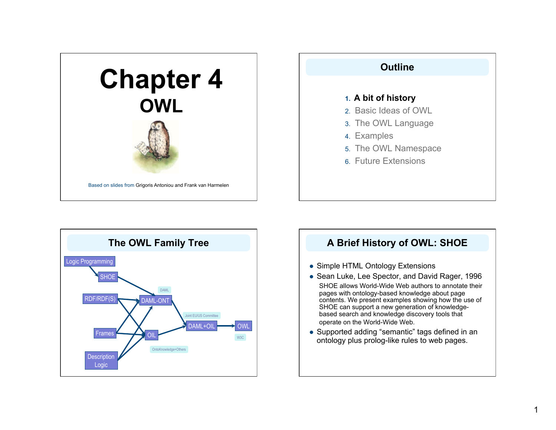





# **A Brief History of OWL: SHOE**

- Simple HTML Ontology Extensions
- Sean Luke, Lee Spector, and David Rager, 1996 SHOE allows World-Wide Web authors to annotate their pages with ontology-based knowledge about page contents. We present examples showing how the use of SHOE can support a new generation of knowledgebased search and knowledge discovery tools that operate on the World-Wide Web.
- Supported adding "semantic" tags defined in an ontology plus prolog-like rules to web pages.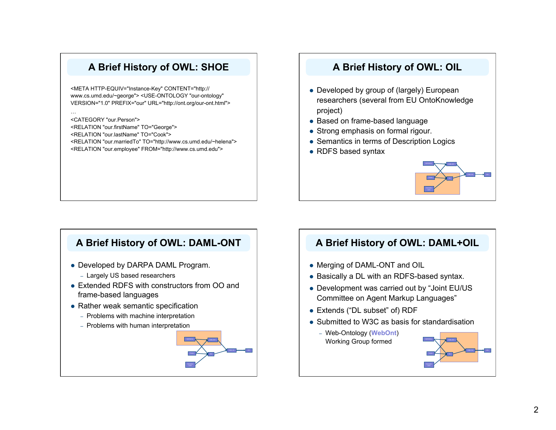# **A Brief History of OWL: SHOE**

<META HTTP-EQUIV="Instance-Key" CONTENT="http:// www.cs.umd.edu/~george"> <USE-ONTOLOGY "our-ontology" VERSION="1.0" PREFIX="our" URL="http://ont.org/our-ont.html">

…

<CATEGORY "our.Person"> <RELATION "our.firstName" TO="George"> <RELATION "our.lastName" TO="Cook"> <RELATION "our.marriedTo" TO="http://www.cs.umd.edu/~helena"> <RELATION "our.employee" FROM="http://www.cs.umd.edu">

# **A Brief History of OWL: OIL**

- Developed by group of (largely) European researchers (several from EU OntoKnowledge project)
- Based on frame-based language
- Strong emphasis on formal rigour.
- Semantics in terms of Description Logics
- RDFS based syntax



### **A Brief History of OWL: DAML-ONT**

- Developed by DARPA DAML Program.
	- Largely US based researchers
- Extended RDFS with constructors from OO and frame-based languages
- Rather weak semantic specification
	- Problems with machine interpretation
	- Problems with human interpretation



# **A Brief History of OWL: DAML+OIL**

- Merging of DAML-ONT and OIL
- Basically a DL with an RDFS-based syntax.
- Development was carried out by "Joint EU/US Committee on Agent Markup Languages"
- Extends ("DL subset" of) RDF
- Submitted to W3C as basis for standardisation
	- Web-Ontology (**WebOnt**) Working Group formed

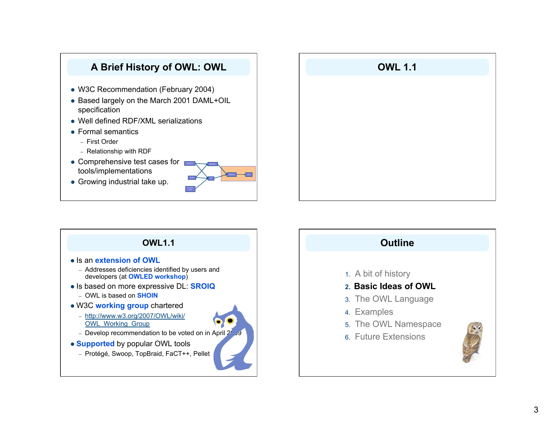



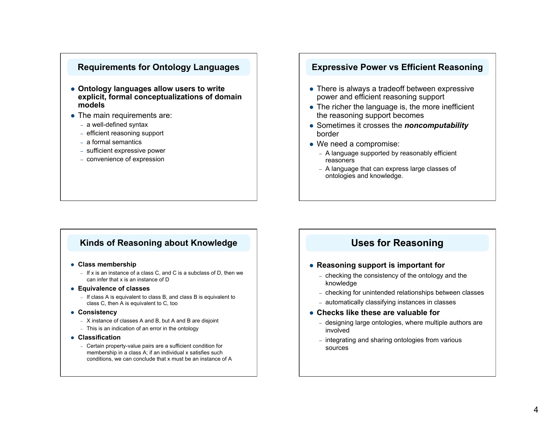### **Requirements for Ontology Languages**

- **Ontology languages allow users to write explicit, formal conceptualizations of domain models**
- The main requirements are:
	- a well-defined syntax
	- efficient reasoning support
	- a formal semantics
	- sufficient expressive power
	- convenience of expression

### **Kinds of Reasoning about Knowledge**

- **Class membership** 
	- If x is an instance of a class C, and C is a subclass of D, then we can infer that x is an instance of D
- **Equivalence of classes** 
	- If class A is equivalent to class B, and class B is equivalent to class C, then A is equivalent to C, too
- **Consistency**
	- X instance of classes A and B, but A and B are disjoint
	- This is an indication of an error in the ontology
- **Classification**
	- Certain property-value pairs are a sufficient condition for membership in a class A; if an individual x satisfies such conditions, we can conclude that x must be an instance of A

### **Expressive Power vs Efficient Reasoning**

- There is always a tradeoff between expressive power and efficient reasoning support
- The richer the language is, the more inefficient the reasoning support becomes
- Sometimes it crosses the *noncomputability* border
- We need a compromise:
	- A language supported by reasonably efficient reasoners
	- A language that can express large classes of ontologies and knowledge.

### **Uses for Reasoning**

### **Reasoning support is important for**

- checking the consistency of the ontology and the knowledge
- checking for unintended relationships between classes
- automatically classifying instances in classes

### **Checks like these are valuable for**

- designing large ontologies, where multiple authors are involved
- integrating and sharing ontologies from various sources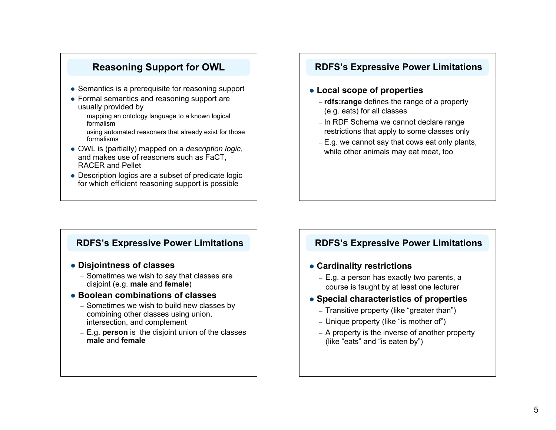# **Reasoning Support for OWL**

- Semantics is a prerequisite for reasoning support
- Formal semantics and reasoning support are usually provided by
	- mapping an ontology language to a known logical formalism
	- using automated reasoners that already exist for those formalisms
- OWL is (partially) mapped on a *description logic*, and makes use of reasoners such as FaCT, RACER and Pellet
- Description logics are a subset of predicate logic for which efficient reasoning support is possible

### **RDFS's Expressive Power Limitations**

### **Local scope of properties**

- **rdfs:range** defines the range of a property (e.g. eats) for all classes
- In RDF Schema we cannot declare range restrictions that apply to some classes only
- E.g. we cannot say that cows eat only plants, while other animals may eat meat, too

### **RDFS's Expressive Power Limitations**

### **Disjointness of classes**

– Sometimes we wish to say that classes are disjoint (e.g. **male** and **female**)

### **Boolean combinations of classes**

- Sometimes we wish to build new classes by combining other classes using union, intersection, and complement
- E.g. **person** is the disjoint union of the classes **male** and **female**

### **RDFS's Expressive Power Limitations**

### **Cardinality restrictions**

– E.g. a person has exactly two parents, a course is taught by at least one lecturer

### **Special characteristics of properties**

- Transitive property (like "greater than")
- Unique property (like "is mother of")
- A property is the inverse of another property (like "eats" and "is eaten by")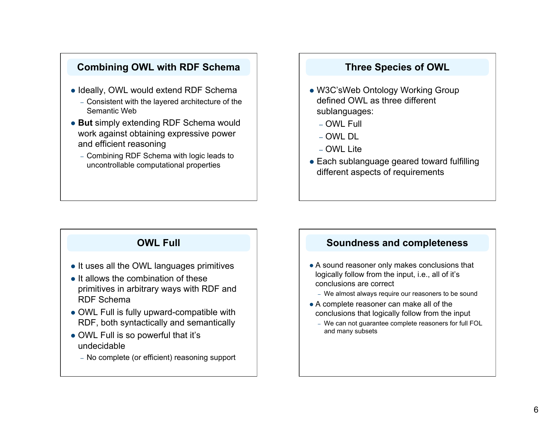## **Combining OWL with RDF Schema**

- Ideally, OWL would extend RDF Schema
	- Consistent with the layered architecture of the Semantic Web
- **But** simply extending RDF Schema would work against obtaining expressive power and efficient reasoning
	- Combining RDF Schema with logic leads to uncontrollable computational properties

### **Three Species of OWL**

- W3C'sWeb Ontology Working Group defined OWL as three different sublanguages:
	- OWL Full
	- OWL DL
	- OWL Lite
- Each sublanguage geared toward fulfilling different aspects of requirements

# **OWL Full**

- It uses all the OWL languages primitives
- $\bullet$  It allows the combination of these primitives in arbitrary ways with RDF and RDF Schema
- OWL Full is fully upward-compatible with RDF, both syntactically and semantically
- OWL Full is so powerful that it's undecidable
	- No complete (or efficient) reasoning support

### **Soundness and completeness**

- A sound reasoner only makes conclusions that logically follow from the input, i.e., all of it's conclusions are correct
	- We almost always require our reasoners to be sound
- A complete reasoner can make all of the conclusions that logically follow from the input
	- We can not guarantee complete reasoners for full FOL and many subsets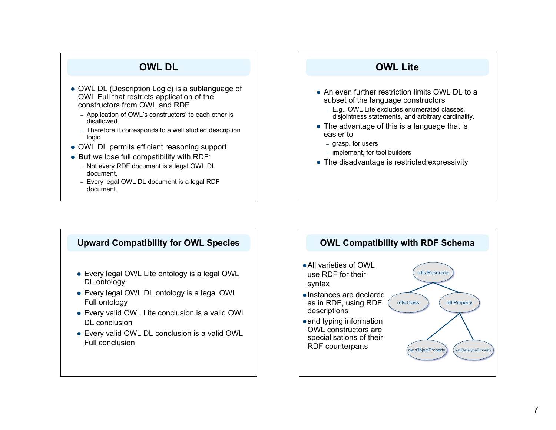### **OWL DL**

- OWL DL (Description Logic) is a sublanguage of OWL Full that restricts application of the constructors from OWL and RDF
	- Application of OWL's constructors' to each other is disallowed
	- Therefore it corresponds to a well studied description logic
- OWL DL permits efficient reasoning support
- **But** we lose full compatibility with RDF:
	- Not every RDF document is a legal OWL DL document.
	- Every legal OWL DL document is a legal RDF document.

### **OWL Lite**

- An even further restriction limits OWL DL to a subset of the language constructors
	- E.g., OWL Lite excludes enumerated classes, disjointness statements, and arbitrary cardinality.
- The advantage of this is a language that is easier to
	- grasp, for users
	- implement, for tool builders
- The disadvantage is restricted expressivity

### **Upward Compatibility for OWL Species**

- Every legal OWL Lite ontology is a legal OWL DL ontology
- Every legal OWL DL ontology is a legal OWL Full ontology
- Every valid OWL Lite conclusion is a valid OWL DL conclusion
- Every valid OWL DL conclusion is a valid OWL Full conclusion

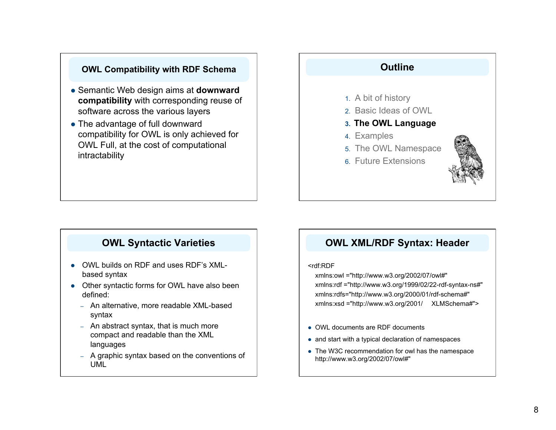### **OWL Compatibility with RDF Schema**

- Semantic Web design aims at **downward compatibility** with corresponding reuse of software across the various layers
- The advantage of full downward compatibility for OWL is only achieved for OWL Full, at the cost of computational intractability

### **Outline**

- 1. A bit of history
- 2. Basic Ideas of OWL
- **3. The OWL Language**
- 4. Examples
- 5. The OWL Namespace
- 6. Future Extensions



# **OWL Syntactic Varieties**

- OWL builds on RDF and uses RDF's XMLbased syntax
- Other syntactic forms for OWL have also been defined:
	- An alternative, more readable XML-based syntax
	- An abstract syntax, that is much more compact and readable than the XML languages
	- A graphic syntax based on the conventions of UML

### **OWL XML/RDF Syntax: Header**

### <rdf:RDF

xmlns:owl ="http://www.w3.org/2002/07/owl#" xmlns:rdf ="http://www.w3.org/1999/02/22-rdf-syntax-ns#" xmlns:rdfs="http://www.w3.org/2000/01/rdf-schema#" xmlns:xsd ="http://www.w3.org/2001/ XLMSchema#">

- OWL documents are RDF documents
- and start with a typical declaration of namespaces
- The W3C recommendation for owl has the namespace http://www.w3.org/2002/07/owl#"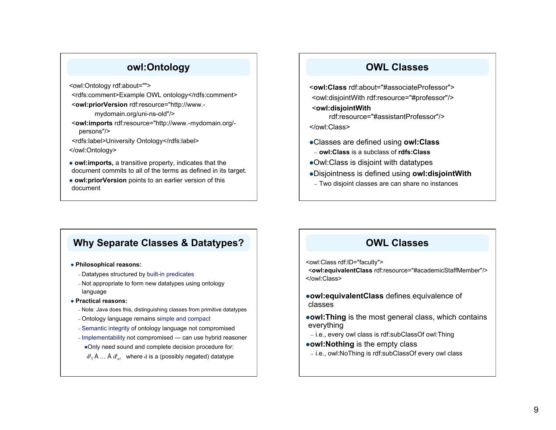# **owl:Ontology**

<owl:Ontology rdf:about="">

- <rdfs:comment>Example OWL ontology</rdfs:comment> <**owl:priorVersion** rdf:resource="http://www.
	- mydomain.org/uni-ns-old"/>
- <**owl:imports** rdf:resource="http://www.-mydomain.org/ persons"/>
- <rdfs:label>University Ontology</rdfs:label>
- </owl:Ontology>
- **owl:imports,** a transitive property, indicates that the document commits to all of the terms as defined in its target.
- **owl:priorVersion** points to an earlier version of this document

### **OWL Classes**

<**owl:Class** rdf:about="#associateProfessor"> <owl:disjointWith rdf:resource="#professor"/> <**owl:disjointWith**

rdf:resource="#assistantProfessor"/> </owl:Class>

- 
- Classes are defined using **owl:Class**
- **owl:Class** is a subclass of **rdfs:Class**
- Owl:Class is disjoint with datatypes
- Disjointness is defined using **owl:disjointWith**
- Two disjoint classes are can share no instances

# **Why Separate Classes & Datatypes?**

**Philosophical reasons:** 

- Datatypes structured by built-in predicates
- Not appropriate to form new datatypes using ontology language
- **Practical reasons:** 
	- Note: Java does this, distinguishing classes from primitive datatypes
	- Ontology language remains simple and compact
	- Semantic integrity of ontology language not compromised
	- Implementability not compromised can use hybrid reasoner
	- Only need sound and complete decision procedure for:
	- d<sup>1</sup><sub>1</sub> Å ... Å d<sup>1</sup><sub>n</sub>, where d is a (possibly negated) datatype

## **OWL Classes**

<owl:Class rdf:ID="faculty">

<**owl:equivalentClass** rdf:resource="#academicStaffMember"/> </owl:Class>

- **owl:equivalentClass** defines equivalence of classes
- **owl: Thing** is the most general class, which contains everything
- i.e., every owl class is rdf:subClassOf owl:Thing
- **owl:Nothing** is the empty class
- i.e., owl:NoThing is rdf:subClassOf every owl class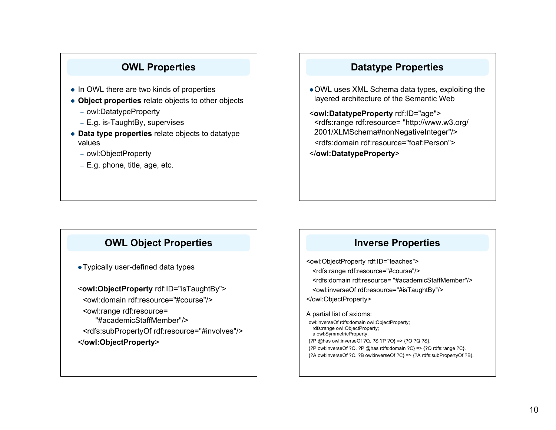# **OWL Properties**

- In OWL there are two kinds of properties
- **Object properties** relate objects to other objects
	- owl:DatatypeProperty
	- E.g. is-TaughtBy, supervises
- **Data type properties** relate objects to datatype values
	- owl:ObjectProperty
	- E.g. phone, title, age, etc.

# **Datatype Properties**

- OWL uses XML Schema data types, exploiting the layered architecture of the Semantic Web
- <**owl:DatatypeProperty** rdf:ID="age"> <rdfs:range rdf:resource= "http://www.w3.org/ 2001/XLMSchema#nonNegativeInteger"/> <rdfs:domain rdf:resource="foaf:Person"> </**owl:DatatypeProperty**>

# **OWL Object Properties**

Typically user-defined data types

<**owl:ObjectProperty** rdf:ID="isTaughtBy"> <owl:domain rdf:resource="#course"/> <owl:range rdf:resource= "#academicStaffMember"/> <rdfs:subPropertyOf rdf:resource="#involves"/> </**owl:ObjectProperty**>

### **Inverse Properties**

<owl:ObjectProperty rdf:ID="teaches"> <rdfs:range rdf:resource="#course"/> <rdfs:domain rdf:resource= "#academicStaffMember"/> <owl:inverseOf rdf:resource="#isTaughtBy"/> </owl:ObjectProperty>

A partial list of axioms: owl:inverseOf rdfs:domain owl:ObjectProperty; rdfs:range owl:ObjectProperty; a owl:SymmetricProperty. {?P @has owl:inverseOf ?Q. ?S ?P ?O} => {?O ?Q ?S}. {?P owl:inverseOf ?Q. ?P @has rdfs:domain ?C} => {?Q rdfs:range ?C}. {?A owl:inverseOf ?C. ?B owl:inverseOf ?C} => {?A rdfs:subPropertyOf ?B}.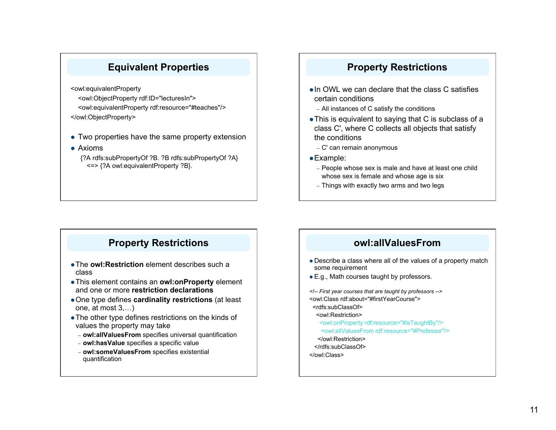# **Equivalent Properties**

<owl:equivalentProperty

- <owl:ObjectProperty rdf:ID="lecturesIn"> <owl:equivalentProperty rdf:resource="#teaches"/> </owl:ObjectProperty>
- Two properties have the same property extension
- Axioms

{?A rdfs:subPropertyOf ?B. ?B rdfs:subPropertyOf ?A} <=> {?A owl:equivalentProperty ?B}.

### **Property Restrictions**

- $\bullet$  In OWL we can declare that the class C satisfies certain conditions
	- All instances of C satisfy the conditions
- This is equivalent to saying that C is subclass of a class C', where C collects all objects that satisfy the conditions
	- C' can remain anonymous
- Example:
	- People whose sex is male and have at least one child whose sex is female and whose age is six
	- Things with exactly two arms and two legs

# **Property Restrictions**

- The **owl:Restriction** element describes such a class
- This element contains an **owl:onProperty** element and one or more **restriction declarations**
- One type defines **cardinality restrictions** (at least one, at most 3,…)
- The other type defines restrictions on the kinds of values the property may take
	- **owl:allValuesFrom** specifies universal quantification
	- **owl:hasValue** specifies a specific value
	- **owl:someValuesFrom** specifies existential quantification

# **owl:allValuesFrom**

- Describe a class where all of the values of a property match some requirement
- E.g., Math courses taught by professors.

*<!-- First year courses that are taught by professors -->*  <owl:Class rdf:about="#firstYearCourse"> <rdfs:subClassOf> <owl:Restriction> <owl:onProperty rdf:resource="#isTaughtBy"/> <owl:allValuesFrom rdf:resource="#Professor"/> </owl:Restriction> </rdfs:subClassOf> </owl:Class>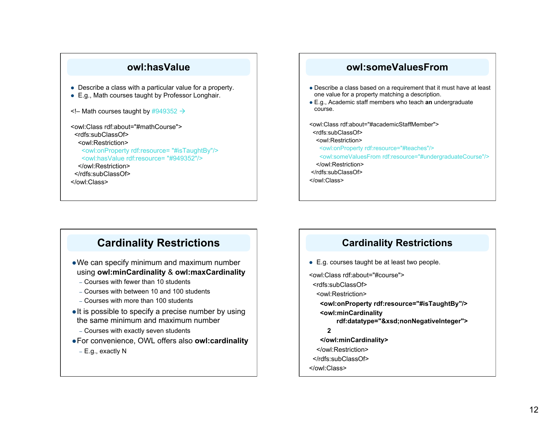### **owl:hasValue**

- Describe a class with a particular value for a property.
- E.g., Math courses taught by Professor Longhair.
- $\leq$  Math courses taught by #949352  $\rightarrow$

<owl:Class rdf:about="#mathCourse"> <rdfs:subClassOf> <owl:Restriction> <owl:onProperty rdf:resource= "#isTaughtBy"/> <owl:hasValue rdf:resource= "#949352"/> </owl:Restriction> </rdfs:subClassOf> </owl:Class>

### **owl:someValuesFrom**

- Describe a class based on a requirement that it must have at least one value for a property matching a description.
- E.g., Academic staff members who teach **an** undergraduate course.

<owl:Class rdf:about="#academicStaffMember"> <rdfs:subClassOf> <owl:Restriction> <owl:onProperty rdf:resource="#teaches"/> <owl:someValuesFrom rdf:resource="#undergraduateCourse"/> </owl:Restriction> </rdfs:subClassOf> </owl:Class>

# **Cardinality Restrictions**

- We can specify minimum and maximum number using **owl:minCardinality** & **owl:maxCardinality**
	- Courses with fewer than 10 students
	- Courses with between 10 and 100 students
	- Courses with more than 100 students
- $\bullet$  It is possible to specify a precise number by using the same minimum and maximum number
	- Courses with exactly seven students
- For convenience, OWL offers also **owl:cardinality**
	- E.g., exactly N

### **Cardinality Restrictions**

- E.g. courses taught be at least two people.
- <owl:Class rdf:about="#course">
- <rdfs:subClassOf>
- <owl:Restriction>
- **<owl:onProperty rdf:resource="#isTaughtBy"/>**
- **<owl:minCardinality** 
	- **rdf:datatype="&xsd;nonNegativeInteger">**

### **2**

- **</owl:minCardinality>**
- </owl:Restriction>
- </rdfs:subClassOf>
- </owl:Class>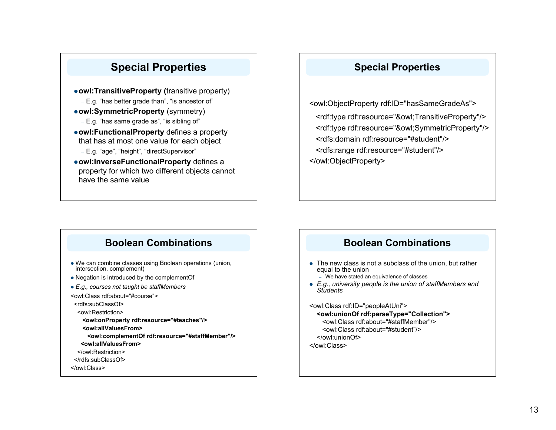# **Special Properties**

- **owl:TransitiveProperty (**transitive property) – E.g. "has better grade than", "is ancestor of" **owl:SymmetricProperty** (symmetry) – E.g. "has same grade as", "is sibling of"
- **owl:FunctionalProperty** defines a property that has at most one value for each object
	- E.g. "age", "height", "directSupervisor"
- **owl:InverseFunctionalProperty** defines a property for which two different objects cannot have the same value

### **Special Properties**

<owl:ObjectProperty rdf:ID="hasSameGradeAs">

 <rdf:type rdf:resource="&owl;TransitiveProperty"/> <rdf:type rdf:resource="&owl;SymmetricProperty"/> <rdfs:domain rdf:resource="#student"/> <rdfs:range rdf:resource="#student"/> </owl:ObjectProperty>

# **Boolean Combinations**

- We can combine classes using Boolean operations (union, intersection, complement)
- Negation is introduced by the complementOf
- *E.g., courses not taught be staffMembers*

<owl:Class rdf:about="#course">

<rdfs:subClassOf>

<owl:Restriction>

 **<owl:onProperty rdf:resource="#teaches"/>** 

- **<owl:allValuesFrom>**
- **<owl:complementOf rdf:resource="#staffMember"/>**
- **<owl:allValuesFrom>**
- </owl:Restriction>
- </rdfs:subClassOf>

</owl:Class>

## **Boolean Combinations**

• The new class is not a subclass of the union, but rather equal to the union

– We have stated an equivalence of classes

 *E.g., university people is the union of staffMembers and Students*

<owl:Class rdf:ID="peopleAtUni">

**<owl:unionOf rdf:parseType="Collection">**  <owl:Class rdf:about="#staffMember"/> <owl:Class rdf:about="#student"/>

</owl:unionOf>

</owl:Class>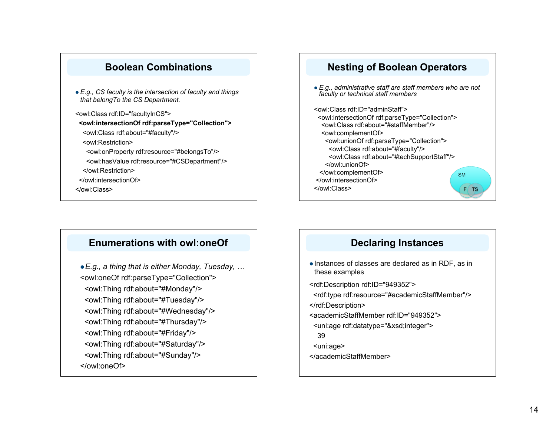### **Boolean Combinations**

- *E.g., CS faculty is the intersection of faculty and things that belongTo the CS Department.*
- <owl:Class rdf:ID="facultyInCS"> **<owl:intersectionOf rdf:parseType="Collection">** 
	- <owl:Class rdf:about="#faculty"/>
- <owl:Restriction>
- <owl:onProperty rdf:resource="#belongsTo"/>
- <owl:hasValue rdf:resource="#CSDepartment"/> </owl:Restriction>
- </owl:intersectionOf>
- </owl:Class>

### **Nesting of Boolean Operators**

 *E.g., administrative staff are staff members who are not faculty or technical staff members* 

<owl:Class rdf:ID="adminStaff"> <owl:intersectionOf rdf:parseType="Collection"> <owl:Class rdf:about="#staffMember"/> <owl:complementOf> <owl:unionOf rdf:parseType="Collection"> <owl:Class rdf:about="#faculty"/> <owl:Class rdf:about="#techSupportStaff"/> </owl:unionOf> </owl:complementOf> </owl:intersectionOf> </owl:Class> SM  $F(TS)$ 

### **Enumerations with owl:oneOf**

*E.g., a thing that is either Monday, Tuesday, …*  <owl:oneOf rdf:parseType="Collection"> <owl:Thing rdf:about="#Monday"/> <owl:Thing rdf:about="#Tuesday"/> <owl:Thing rdf:about="#Wednesday"/> <owl:Thing rdf:about="#Thursday"/> <owl:Thing rdf:about="#Friday"/> <owl:Thing rdf:about="#Saturday"/> <owl:Thing rdf:about="#Sunday"/> </owl:oneOf>

### **Declaring Instances**

• Instances of classes are declared as in RDF, as in these examples

<rdf:Description rdf:ID="949352">

- <rdf:type rdf:resource="#academicStaffMember"/>
- </rdf:Description>
- <academicStaffMember rdf:ID="949352">
- <uni:age rdf:datatype="&xsd;integer">
- 39
- <uni:age>
- </academicStaffMember>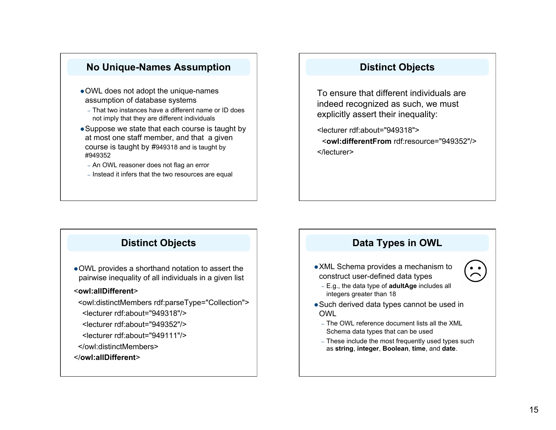### **No Unique-Names Assumption**

- OWL does not adopt the unique-names assumption of database systems
	- That two instances have a different name or ID does not imply that they are different individuals
- Suppose we state that each course is taught by at most one staff member, and that a given course is taught by #949318 and is taught by #949352
	- An OWL reasoner does not flag an error
	- Instead it infers that the two resources are equal

### **Distinct Objects**

To ensure that different individuals are indeed recognized as such, we must explicitly assert their inequality:

<lecturer rdf:about="949318"> <**owl:differentFrom** rdf:resource="949352"/> </lecturer>

# **Distinct Objects**

OWL provides a shorthand notation to assert the pairwise inequality of all individuals in a given list

### <**owl:allDifferent**>

 <owl:distinctMembers rdf:parseType="Collection"> <lecturer rdf:about="949318"/>

- <lecturer rdf:about="949352"/>
- <lecturer rdf:about="949111"/>
- </owl:distinctMembers>

### </**owl:allDifferent**>

# **Data Types in OWL**

### XML Schema provides a mechanism to construct user-defined data types

– E.g., the data type of **adultAge** includes all integers greater than 18

- Such derived data types cannot be used in OWL
	- The OWL reference document lists all the XML Schema data types that can be used
	- These include the most frequently used types such as **string**, **integer**, **Boolean**, **time**, and **date**.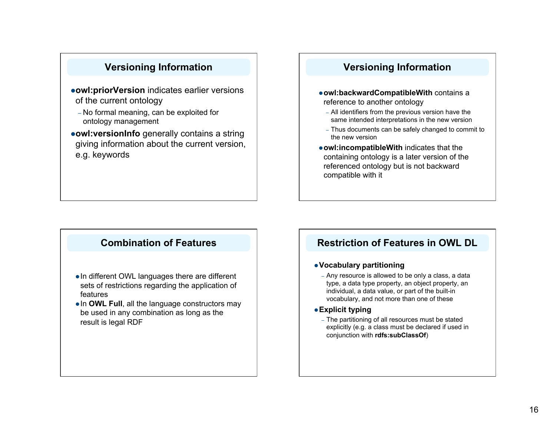# **Versioning Information**

- **owl:priorVersion** indicates earlier versions of the current ontology
	- No formal meaning, can be exploited for ontology management
- **owl:versionInfo** generally contains a string giving information about the current version, e.g. keywords

## **Versioning Information**

- **owl:backwardCompatibleWith** contains a reference to another ontology
	- All identifiers from the previous version have the same intended interpretations in the new version
	- Thus documents can be safely changed to commit to the new version
- **owl:incompatibleWith** indicates that the containing ontology is a later version of the referenced ontology but is not backward compatible with it

# **Combination of Features**

- In different OWL languages there are different sets of restrictions regarding the application of features
- **. In OWL Full, all the language constructors may** be used in any combination as long as the result is legal RDF

### **Restriction of Features in OWL DL**

### **Vocabulary partitioning**

- Any resource is allowed to be only a class, a data type, a data type property, an object property, an individual, a data value, or part of the built-in vocabulary, and not more than one of these
- **Explicit typing**
	- The partitioning of all resources must be stated explicitly (e.g. a class must be declared if used in conjunction with **rdfs:subClassOf**)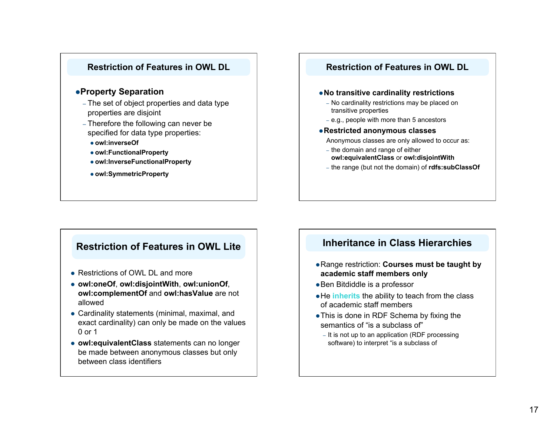

### **Property Separation**

- The set of object properties and data type properties are disjoint
- Therefore the following can never be specified for data type properties:
	- **owl:inverseOf**
	- **owl:FunctionalProperty**
	- **owl:InverseFunctionalProperty**
	- **owl:SymmetricProperty**

### **Restriction of Features in OWL DL**

### **No transitive cardinality restrictions**

- No cardinality restrictions may be placed on transitive properties
- e.g., people with more than 5 ancestors
- **Restricted anonymous classes**

Anonymous classes are only allowed to occur as:

- the domain and range of either **owl:equivalentClass** or **owl:disjointWith**
- the range (but not the domain) of **rdfs:subClassOf**

### **Restriction of Features in OWL Lite**

- Restrictions of OWL DL and more
- **owl:oneOf**, **owl:disjointWith**, **owl:unionOf**, **owl:complementOf** and **owl:hasValue** are not allowed
- Cardinality statements (minimal, maximal, and exact cardinality) can only be made on the values 0 or 1
- **owl:equivalentClass** statements can no longer be made between anonymous classes but only between class identifiers

### **Inheritance in Class Hierarchies**

- Range restriction: **Courses must be taught by academic staff members only**
- Ben Bitdiddle is a professor
- He **inherits** the ability to teach from the class of academic staff members
- This is done in RDF Schema by fixing the semantics of "is a subclass of"
	- It is not up to an application (RDF processing software) to interpret "is a subclass of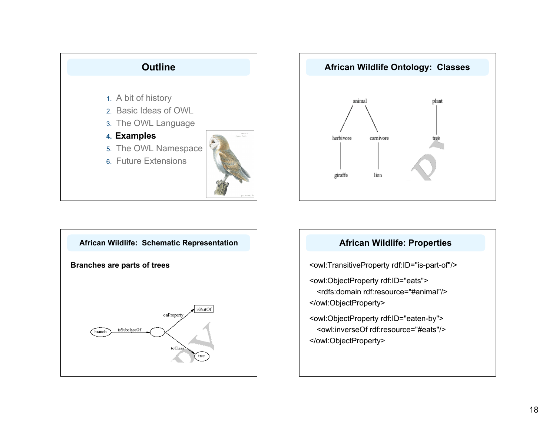





### **African Wildlife: Properties**

<owl:TransitiveProperty rdf:ID="is-part-of"/>

<owl:ObjectProperty rdf:ID="eats">

<rdfs:domain rdf:resource="#animal"/> </owl:ObjectProperty>

<owl:ObjectProperty rdf:ID="eaten-by"> <owl:inverseOf rdf:resource="#eats"/> </owl:ObjectProperty>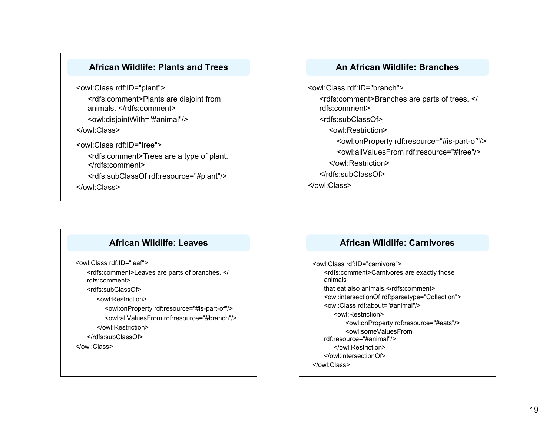### **African Wildlife: Plants and Trees**

<owl:Class rdf:ID="plant"> <rdfs:comment>Plants are disjoint from animals. </rdfs:comment> <owl:disjointWith="#animal"/> </owl:Class>

<owl:Class rdf:ID="tree"> <rdfs:comment>Trees are a type of plant. </rdfs:comment> <rdfs:subClassOf rdf:resource="#plant"/> </owl:Class>

### **An African Wildlife: Branches**

<owl:Class rdf:ID="branch"> <rdfs:comment>Branches are parts of trees. </ rdfs:comment> <rdfs:subClassOf> <owl:Restriction> <owl:onProperty rdf:resource="#is-part-of"/> <owl:allValuesFrom rdf:resource="#tree"/> </owl:Restriction> </rdfs:subClassOf> </owl:Class>

### **African Wildlife: Leaves**

<owl:Class rdf:ID="leaf">

<rdfs:comment>Leaves are parts of branches. </ rdfs:comment>

<rdfs:subClassOf>

<owl:Restriction>

<owl:onProperty rdf:resource="#is-part-of"/> <owl:allValuesFrom rdf:resource="#branch"/>

</owl:Restriction>

</rdfs:subClassOf>

</owl:Class>

### **African Wildlife: Carnivores**

<owl:Class rdf:ID="carnivore"> <rdfs:comment>Carnivores are exactly those animals that eat also animals.</rdfs:comment> <owl:intersectionOf rdf:parsetype="Collection"> <owl:Class rdf:about="#animal"/> <owl:Restriction> <owl:onProperty rdf:resource="#eats"/> <owl:someValuesFrom rdf:resource="#animal"/> </owl:Restriction> </owl:intersectionOf> </owl:Class>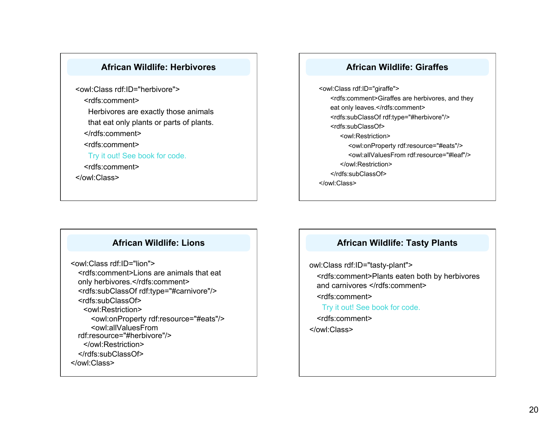### **African Wildlife: Herbivores**

<owl:Class rdf:ID="herbivore"> <rdfs:comment> Herbivores are exactly those animals that eat only plants or parts of plants. </rdfs:comment> <rdfs:comment> Try it out! See book for code. <rdfs:comment> </owl:Class>

### **African Wildlife: Giraffes**

<owl:Class rdf:ID="giraffe"> <rdfs:comment>Giraffes are herbivores, and they eat only leaves.</rdfs:comment> <rdfs:subClassOf rdf:type="#herbivore"/> <rdfs:subClassOf> <owl:Restriction> <owl:onProperty rdf:resource="#eats"/> <owl:allValuesFrom rdf:resource="#leaf"/> </owl:Restriction> </rdfs:subClassOf> </owl:Class>

### **African Wildlife: Lions**

<owl:Class rdf:ID="lion"> <rdfs:comment>Lions are animals that eat only herbivores.</rdfs:comment> <rdfs:subClassOf rdf:type="#carnivore"/> <rdfs:subClassOf> <owl:Restriction> <owl:onProperty rdf:resource="#eats"/> <owl:allValuesFrom rdf:resource="#herbivore"/> </owl:Restriction> </rdfs:subClassOf> </owl:Class>

### **African Wildlife: Tasty Plants**

owl:Class rdf:ID="tasty-plant"> <rdfs:comment>Plants eaten both by herbivores

and carnivores </rdfs:comment>

<rdfs:comment>

Try it out! See book for code.

<rdfs:comment>

</owl:Class>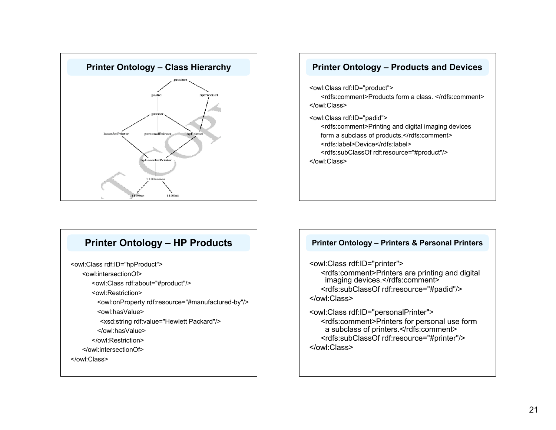

# **Printer Ontology – Class Hierarchy Printer Ontology – Products and Devices** <owl:Class rdf:ID="product"> <rdfs:comment>Products form a class. </rdfs:comment> </owl:Class> <owl:Class rdf:ID="padid"> <rdfs:comment>Printing and digital imaging devices form a subclass of products.</rdfs:comment> <rdfs:label>Device</rdfs:label> <rdfs:subClassOf rdf:resource="#product"/> </owl:Class>

# **Printer Ontology – HP Products**

<owl:Class rdf:ID="hpProduct">

<owl:intersectionOf>

<owl:Class rdf:about="#product"/>

<owl:Restriction>

<owl:onProperty rdf:resource="#manufactured-by"/>

<owl:hasValue>

<xsd:string rdf:value="Hewlett Packard"/>

</owl:hasValue>

</owl:Restriction>

</owl:intersectionOf>

</owl:Class>

### **Printer Ontology – Printers & Personal Printers**

<owl:Class rdf:ID="printer"> <rdfs:comment>Printers are printing and digital imaging devices.</rdfs:comment> <rdfs:subClassOf rdf:resource="#padid"/> </owl:Class>

<owl:Class rdf:ID="personalPrinter"> <rdfs:comment>Printers for personal use form a subclass of printers.</rdfs:comment> <rdfs:subClassOf rdf:resource="#printer"/> </owl:Class>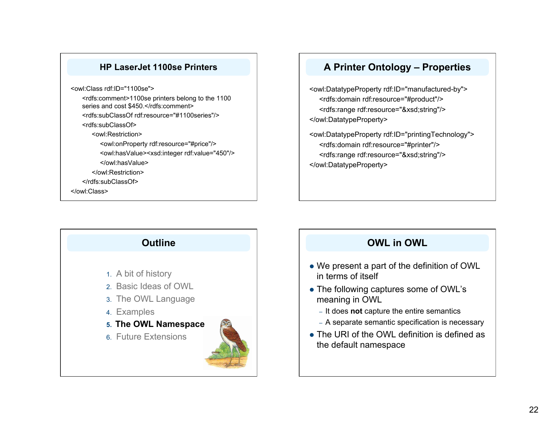### **HP LaserJet 1100se Printers**

<owl:Class rdf:ID="1100se"> <rdfs:comment>1100se printers belong to the 1100 series and cost \$450.</rdfs:comment>

<rdfs:subClassOf rdf:resource="#1100series"/>

<rdfs:subClassOf>

<owl:Restriction>

<owl:onProperty rdf:resource="#price"/> <owl:hasValue><xsd:integer rdf:value="450"/>

</owl:hasValue>

</owl:Restriction>

</rdfs:subClassOf>

</owl:Class>



<owl:DatatypeProperty rdf:ID="manufactured-by"> <rdfs:domain rdf:resource="#product"/> <rdfs:range rdf:resource="&xsd;string"/> </owl:DatatypeProperty>

<owl:DatatypeProperty rdf:ID="printingTechnology"> <rdfs:domain rdf:resource="#printer"/> <rdfs:range rdf:resource="&xsd;string"/> </owl:DatatypeProperty>

# **Outline** 1. A bit of history 2. Basic Ideas of OWL 3. The OWL Language 4. Examples **5. The OWL Namespace**  6. Future Extensions

# **OWL in OWL**

- We present a part of the definition of OWL in terms of itself
- The following captures some of OWL's meaning in OWL
	- It does **not** capture the entire semantics
	- A separate semantic specification is necessary
- The URI of the OWL definition is defined as the default namespace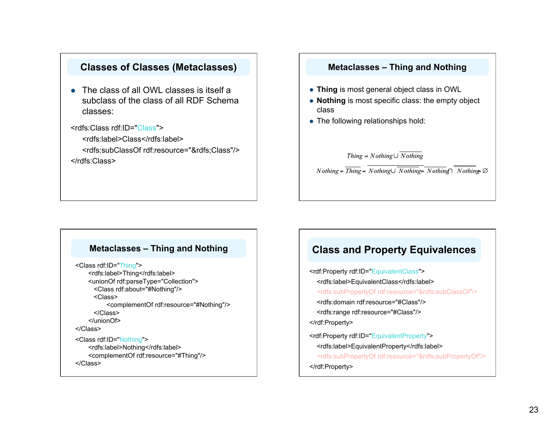### **Classes of Classes (Metaclasses)**

• The class of all OWL classes is itself a subclass of the class of all RDF Schema classes:

<rdfs:Class rdf:ID="Class">

<rdfs:label>Class</rdfs:label> <rdfs:subClassOf rdf:resource="&rdfs;Class"/> </rdfs:Class>

### **Metaclasses – Thing and Nothing**

- **Thing** is most general object class in OWL
- **Nothing** is most specific class: the empty object class
- The following relationships hold:

Thing =  $Nothing \cup \overline{Nothing}$ 

 $Nothing = \overline{Thing} = Nothing \cup \overline{Nothing} = \overline{Nothing} \cap \overline{Nothing} \otimes$ 

### **Metaclasses – Thing and Nothing**

```
<Class rdf:ID="Thing"> 
    <rdfs:label>Thing</rdfs:label> 
    <unionOf rdf:parseType="Collection"> 
      <Class rdf:about="#Nothing"/> 
      <Class> 
           <complementOf rdf:resource="#Nothing"/> 
      </Class> 
    </unionOf> 
</Class> 
<Class rdf:ID="Nothing"> 
    <rdfs:label>Nothing</rdfs:label> 
    <complementOf rdf:resource="#Thing"/> 
</Class>
```
## **Class and Property Equivalences**

<rdf:Property rdf:ID="EquivalentClass"> <rdfs:label>EquivalentClass</rdfs:label> <rdfs:subPropertyOf rdf:resource="&rdfs;subClassOf"/> <rdfs:domain rdf:resource="#Class"/> <rdfs:range rdf:resource="#Class"/> </rdf:Property> <rdf:Property rdf:ID="EquivalentProperty"> <rdfs:label>EquivalentProperty</rdfs:label> <rdfs:subPropertyOf rdf:resource="&rdfs;subPropertyOf"/> </rdf:Property>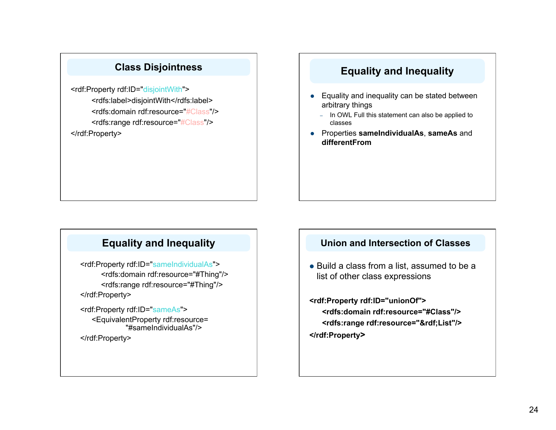# **Class Disjointness**

<rdf:Property rdf:ID="disjointWith"> <rdfs:label>disjointWith</rdfs:label> <rdfs:domain rdf:resource="#Class"/> <rdfs:range rdf:resource="#Class"/> </rdf:Property>

# **Equality and Inequality**

- Equality and inequality can be stated between arbitrary things
	- In OWL Full this statement can also be applied to classes
- Properties **sameIndividualAs**, **sameAs** and **differentFrom**

# **Equality and Inequality**

<rdf:Property rdf:ID="sameIndividualAs"> <rdfs:domain rdf:resource="#Thing"/> <rdfs:range rdf:resource="#Thing"/> </rdf:Property>

<rdf:Property rdf:ID="sameAs"> <EquivalentProperty rdf:resource= "#sameIndividualAs"/> </rdf:Property>

### **Union and Intersection of Classes**

• Build a class from a list, assumed to be a list of other class expressions

**<rdf:Property rdf:ID="unionOf"> <rdfs:domain rdf:resource="#Class"/> <rdfs:range rdf:resource="&rdf;List"/> </rdf:Property>**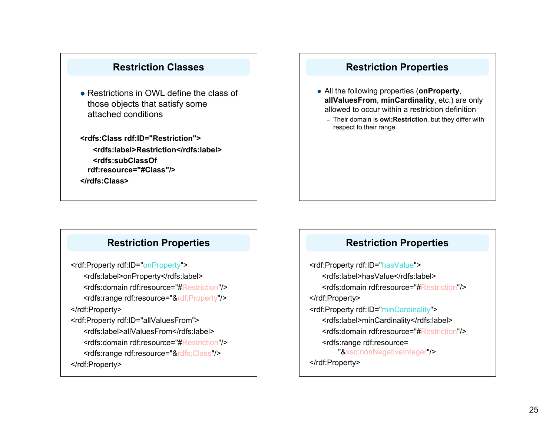# **Restriction Classes**

- Restrictions in OWL define the class of those objects that satisfy some attached conditions
- **<rdfs:Class rdf:ID="Restriction"> <rdfs:label>Restriction</rdfs:label> <rdfs:subClassOf rdf:resource="#Class"/>**

**</rdfs:Class>** 

# **Restriction Properties**

- All the following properties (**onProperty**, **allValuesFrom**, **minCardinality**, etc.) are only allowed to occur within a restriction definition
	- Their domain is **owl:Restriction**, but they differ with respect to their range

# **Restriction Properties**

<rdf:Property rdf:ID="onProperty"> <rdfs:label>onProperty</rdfs:label> <rdfs:domain rdf:resource="#Restriction"/> <rdfs:range rdf:resource="&rdf;Property"/> </rdf:Property> <rdf:Property rdf:ID="allValuesFrom"> <rdfs:label>allValuesFrom</rdfs:label> <rdfs:domain rdf:resource="#Restriction"/> <rdfs:range rdf:resource="&rdfs;Class"/> </rdf:Property>

### **Restriction Properties**

<rdf:Property rdf:ID="hasValue"> <rdfs:label>hasValue</rdfs:label> <rdfs:domain rdf:resource="#Restriction"/> </rdf:Property> <rdf:Property rdf:ID="minCardinality"> <rdfs:label>minCardinality</rdfs:label> <rdfs:domain rdf:resource="#Restriction"/> <rdfs:range rdf:resource= "&xsd;nonNegativeInteger"/> </rdf:Property>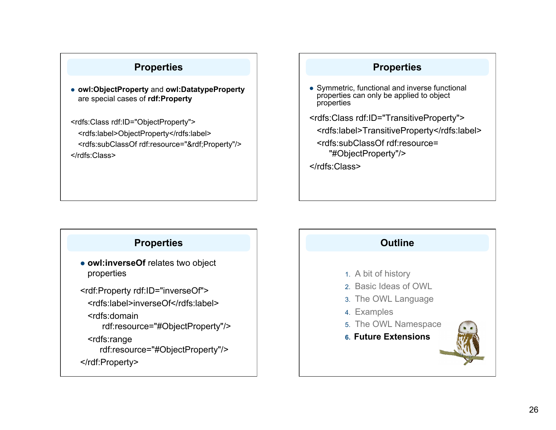# **Properties**

 **owl:ObjectProperty** and **owl:DatatypeProperty** are special cases of **rdf:Property**

<rdfs:Class rdf:ID="ObjectProperty"> <rdfs:label>ObjectProperty</rdfs:label> <rdfs:subClassOf rdf:resource="&rdf;Property"/> </rdfs:Class>

### **Properties**

 Symmetric, functional and inverse functional properties can only be applied to object properties

<rdfs:Class rdf:ID="TransitiveProperty">

- <rdfs:label>TransitiveProperty</rdfs:label>
- <rdfs:subClassOf rdf:resource= "#ObjectProperty"/>

</rdfs:Class>

# **Properties**

 **owl:inverseOf** relates two object properties

<rdf:Property rdf:ID="inverseOf"> <rdfs:label>inverseOf</rdfs:label> <rdfs:domain rdf:resource="#ObjectProperty"/> <rdfs:range rdf:resource="#ObjectProperty"/>

</rdf:Property>

# **Outline**

### 1. A bit of history

- 2. Basic Ideas of OWL
- 3. The OWL Language
- 4. Examples
- 5. The OWL Namespace
- **6. Future Extensions**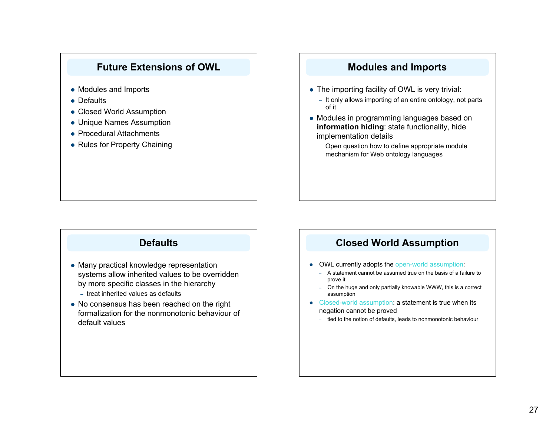### **Future Extensions of OWL**

- Modules and Imports
- Defaults
- Closed World Assumption
- Unique Names Assumption
- Procedural Attachments
- Rules for Property Chaining

# **Defaults**

- Many practical knowledge representation systems allow inherited values to be overridden by more specific classes in the hierarchy – treat inherited values as defaults
- No consensus has been reached on the right formalization for the nonmonotonic behaviour of default values

# **Modules and Imports**

- The importing facility of OWL is very trivial:
	- It only allows importing of an entire ontology, not parts of it
- Modules in programming languages based on **information hiding**: state functionality, hide implementation details
	- Open question how to define appropriate module mechanism for Web ontology languages

### **Closed World Assumption**

- OWL currently adopts the open-world assumption:
	- A statement cannot be assumed true on the basis of a failure to prove it
	- On the huge and only partially knowable WWW, this is a correct assumption
- Closed-world assumption: a statement is true when its negation cannot be proved
	- tied to the notion of defaults, leads to nonmonotonic behaviour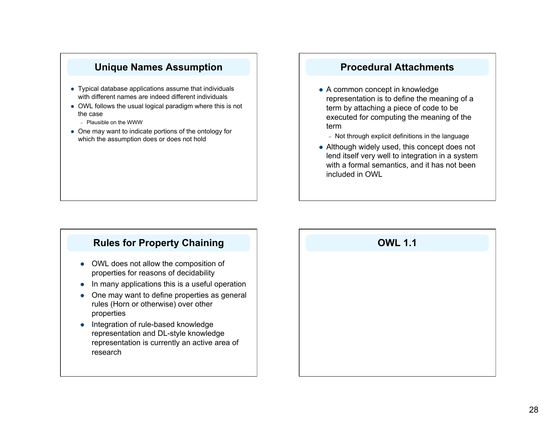### **Unique Names Assumption**

- Typical database applications assume that individuals with different names are indeed different individuals
- OWL follows the usual logical paradigm where this is not the case
	- Plausible on the WWW
- One may want to indicate portions of the ontology for which the assumption does or does not hold

# **Procedural Attachments**

- A common concept in knowledge representation is to define the meaning of a term by attaching a piece of code to be executed for computing the meaning of the term
	- Not through explicit definitions in the language
- Although widely used, this concept does not lend itself very well to integration in a system with a formal semantics, and it has not been included in OWL

# **Rules for Property Chaining**

- OWL does not allow the composition of properties for reasons of decidability
- In many applications this is a useful operation
- One may want to define properties as general rules (Horn or otherwise) over other properties
- Integration of rule-based knowledge representation and DL-style knowledge representation is currently an active area of research

# **OWL 1.1**